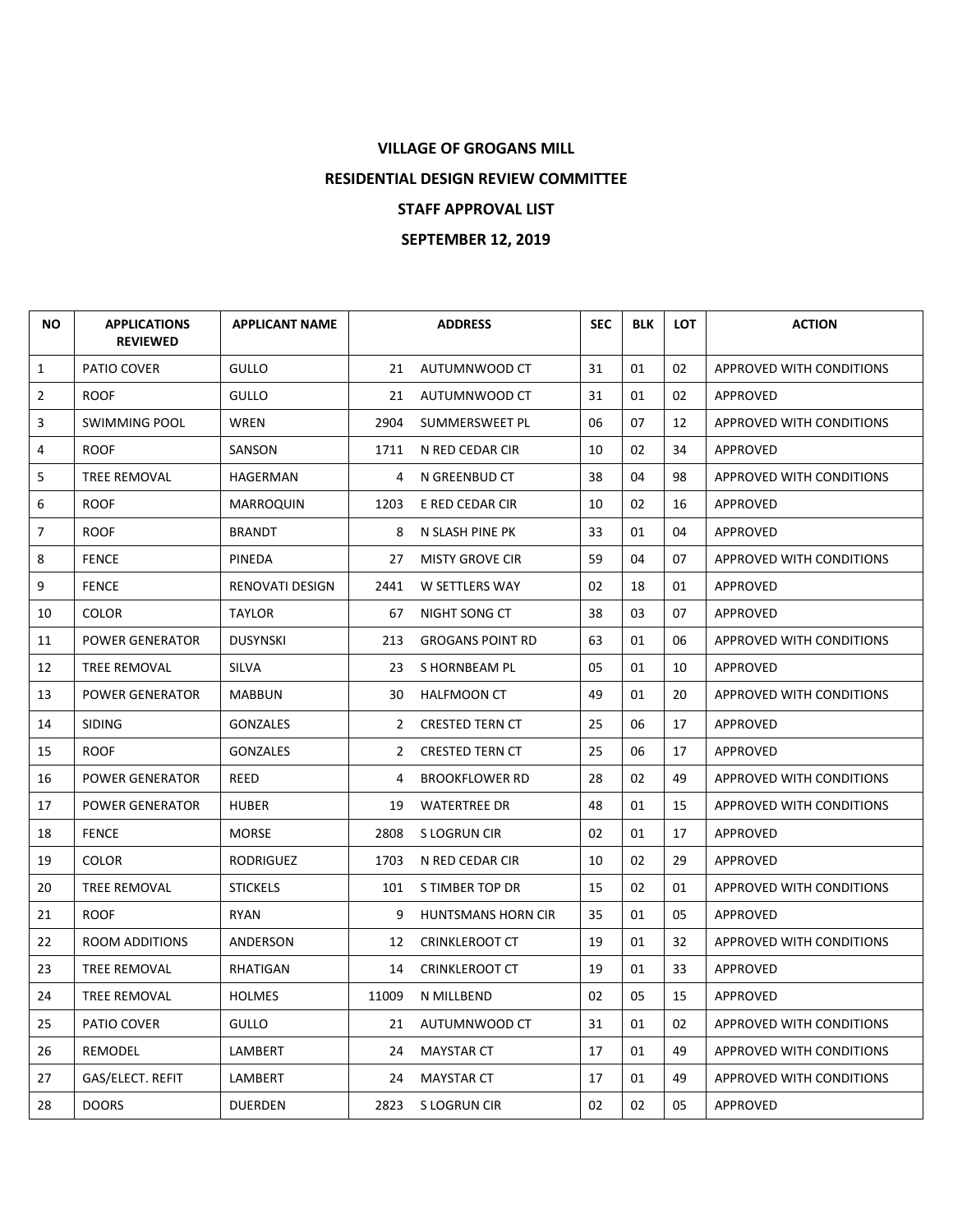## **VILLAGE OF GROGANS MILL RESIDENTIAL DESIGN REVIEW COMMITTEE STAFF APPROVAL LIST SEPTEMBER 12, 2019**

| <b>NO</b>      | <b>APPLICATIONS</b><br><b>REVIEWED</b> | <b>APPLICANT NAME</b> |                | <b>ADDRESS</b>            | <b>SEC</b> | <b>BLK</b> | <b>LOT</b> | <b>ACTION</b>            |
|----------------|----------------------------------------|-----------------------|----------------|---------------------------|------------|------------|------------|--------------------------|
| $\mathbf{1}$   | PATIO COVER                            | <b>GULLO</b>          | 21             | AUTUMNWOOD CT             | 31         | 01         | 02         | APPROVED WITH CONDITIONS |
| $\overline{2}$ | <b>ROOF</b>                            | <b>GULLO</b>          | 21             | AUTUMNWOOD CT             | 31         | 01         | 02         | APPROVED                 |
| 3              | <b>SWIMMING POOL</b>                   | <b>WREN</b>           | 2904           | SUMMERSWEET PL            | 06         | 07         | 12         | APPROVED WITH CONDITIONS |
| 4              | <b>ROOF</b>                            | SANSON                | 1711           | N RED CEDAR CIR           | 10         | 02         | 34         | APPROVED                 |
| 5              | TREE REMOVAL                           | HAGERMAN              | 4              | N GREENBUD CT             | 38         | 04         | 98         | APPROVED WITH CONDITIONS |
| 6              | <b>ROOF</b>                            | <b>MARROQUIN</b>      | 1203           | E RED CEDAR CIR           | 10         | 02         | 16         | APPROVED                 |
| $\overline{7}$ | <b>ROOF</b>                            | <b>BRANDT</b>         | 8              | N SLASH PINE PK           | 33         | 01         | 04         | APPROVED                 |
| 8              | <b>FENCE</b>                           | <b>PINEDA</b>         | 27             | <b>MISTY GROVE CIR</b>    | 59         | 04         | 07         | APPROVED WITH CONDITIONS |
| 9              | <b>FENCE</b>                           | RENOVATI DESIGN       | 2441           | W SETTLERS WAY            | 02         | 18         | 01         | APPROVED                 |
| 10             | <b>COLOR</b>                           | <b>TAYLOR</b>         | 67             | NIGHT SONG CT             | 38         | 03         | 07         | APPROVED                 |
| 11             | <b>POWER GENERATOR</b>                 | <b>DUSYNSKI</b>       | 213            | <b>GROGANS POINT RD</b>   | 63         | 01         | 06         | APPROVED WITH CONDITIONS |
| 12             | <b>TREE REMOVAL</b>                    | <b>SILVA</b>          | 23             | S HORNBEAM PL             | 05         | 01         | 10         | APPROVED                 |
| 13             | <b>POWER GENERATOR</b>                 | <b>MABBUN</b>         | 30             | <b>HALFMOON CT</b>        | 49         | 01         | 20         | APPROVED WITH CONDITIONS |
| 14             | <b>SIDING</b>                          | <b>GONZALES</b>       | $\mathbf{2}$   | <b>CRESTED TERN CT</b>    | 25         | 06         | 17         | APPROVED                 |
| 15             | <b>ROOF</b>                            | <b>GONZALES</b>       | $\overline{2}$ | <b>CRESTED TERN CT</b>    | 25         | 06         | 17         | APPROVED                 |
| 16             | <b>POWER GENERATOR</b>                 | REED                  | 4              | <b>BROOKFLOWER RD</b>     | 28         | 02         | 49         | APPROVED WITH CONDITIONS |
| 17             | <b>POWER GENERATOR</b>                 | <b>HUBER</b>          | 19             | <b>WATERTREE DR</b>       | 48         | 01         | 15         | APPROVED WITH CONDITIONS |
| 18             | <b>FENCE</b>                           | <b>MORSE</b>          | 2808           | S LOGRUN CIR              | 02         | 01         | 17         | APPROVED                 |
| 19             | <b>COLOR</b>                           | RODRIGUEZ             | 1703           | N RED CEDAR CIR           | 10         | 02         | 29         | APPROVED                 |
| 20             | <b>TREE REMOVAL</b>                    | <b>STICKELS</b>       | 101            | S TIMBER TOP DR           | 15         | 02         | 01         | APPROVED WITH CONDITIONS |
| 21             | <b>ROOF</b>                            | <b>RYAN</b>           | 9              | <b>HUNTSMANS HORN CIR</b> | 35         | 01         | 05         | APPROVED                 |
| 22             | <b>ROOM ADDITIONS</b>                  | ANDERSON              | 12             | <b>CRINKLEROOT CT</b>     | 19         | 01         | 32         | APPROVED WITH CONDITIONS |
| 23             | <b>TREE REMOVAL</b>                    | RHATIGAN              | 14             | <b>CRINKLEROOT CT</b>     | 19         | 01         | 33         | APPROVED                 |
| 24             | TREE REMOVAL                           | <b>HOLMES</b>         | 11009          | N MILLBEND                | 02         | 05         | 15         | APPROVED                 |
| 25             | <b>PATIO COVER</b>                     | <b>GULLO</b>          | 21             | AUTUMNWOOD CT             | 31         | 01         | 02         | APPROVED WITH CONDITIONS |
| 26             | <b>REMODEL</b>                         | LAMBERT               | 24             | <b>MAYSTAR CT</b>         | 17         | 01         | 49         | APPROVED WITH CONDITIONS |
| 27             | GAS/ELECT. REFIT                       | LAMBERT               | 24             | <b>MAYSTAR CT</b>         | 17         | 01         | 49         | APPROVED WITH CONDITIONS |
| 28             | <b>DOORS</b>                           | <b>DUERDEN</b>        |                | 2823 S LOGRUN CIR         | 02         | 02         | 05         | APPROVED                 |